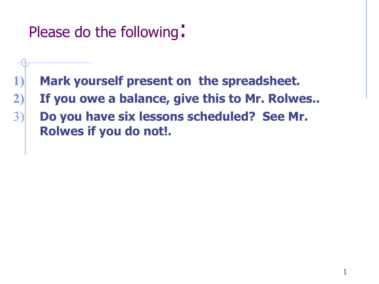Please do the following:

- **1) Mark yourself present on the spreadsheet.**
- **2) If you owe a balance, give this to Mr. Rolwes..**
	- 3) **Do you have six lessons scheduled? See Mr. Rolwes if you do not!.**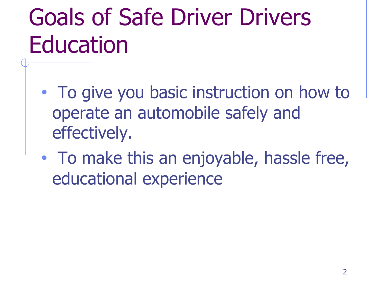# Goals of Safe Driver Drivers Education

- To give you basic instruction on how to operate an automobile safely and effectively.
- To make this an enjoyable, hassle free, educational experience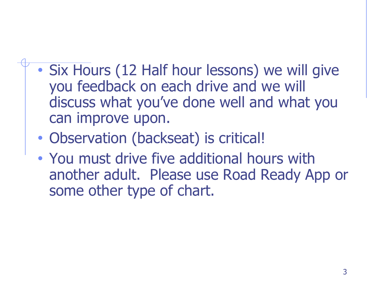- Six Hours (12 Half hour lessons) we will give you feedback on each drive and we will discuss what you've done well and what you can improve upon.
- Observation (backseat) is critical!
- You must drive five additional hours with another adult. Please use Road Ready App or some other type of chart.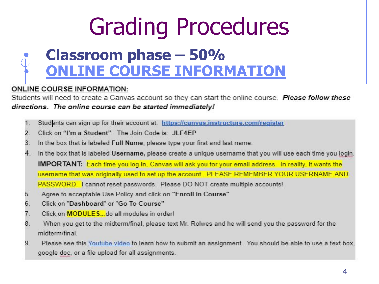# **Grading Procedures**

### **Classroom phase - 50% ONLINE COURSE INFORMATION**

#### **ONLINE COURSE INFORMATION:**

Students will need to create a Canvas account so they can start the online course. Please follow these directions. The online course can be started immediately!

- $1$ Students can sign up for their account at: https://canvas.instructure.com/register
- Click on "I'm a Student" The Join Code is: JLF4EP  $\overline{2}$
- 3. In the box that is labeled Full Name, please type your first and last name.
- 4. In the box that is labeled Username, please create a unique username that you will use each time you login.

**IMPORTANT:** Each time you log in, Canvas will ask you for your email address. In reality, it wants the username that was originally used to set up the account. PLEASE REMEMBER YOUR USERNAME AND PASSWORD. I cannot reset passwords. Please DO NOT create multiple accounts!

- Agree to acceptable Use Policy and click on "Enroll in Course" 5.
- 6. Click on "Dashboard" or "Go To Course"
- Click on **MODULES...** do all modules in order! 7.
- 8. When you get to the midterm/final, please text Mr. Rolwes and he will send you the password for the midterm/final.
- 9. Please see this Youtube video to learn how to submit an assignment. You should be able to use a text box, google doc, or a file upload for all assignments.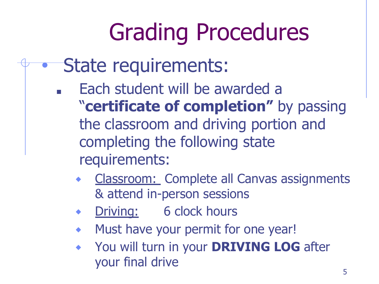# Grading Procedures

- State requirements:
	- Each student will be awarded a
		- "**certificate of completion"** by passing the classroom and driving portion and completing the following state requirements:
			- Classroom: Complete all Canvas assignments & attend in-person sessions
			- ◆ Driving: 6 clock hours
			- Must have your permit for one year!
			- ⬥ You will turn in your **DRIVING LOG** after your final drive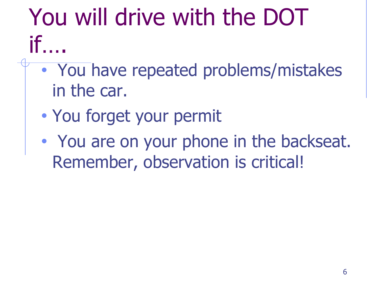### You will drive with the DOT if

- You have repeated problems/mistakes in the car.
	- You forget your permit
	- You are on your phone in the backseat. Remember, observation is critical!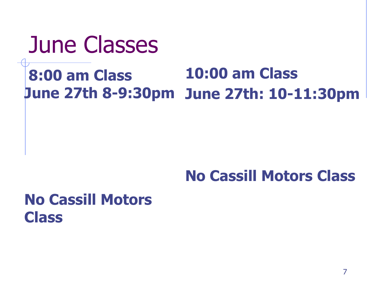### June Classes

#### **8:00 am Class June 27th 8-9:30pm June 27th: 10-11:30pm 10:00 am Class**

#### **No Cassill Motors Class**

#### **No Cassill Motors Class**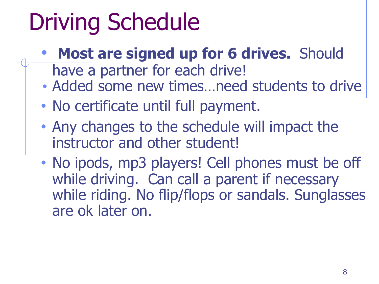## Driving Schedule

- **Most are signed up for 6 drives.** Should
	- have a partner for each drive!
- Added some new times…need students to drive
- No certificate until full payment.
- Any changes to the schedule will impact the instructor and other student!
- No ipods, mp3 players! Cell phones must be off while driving. Can call a parent if necessary while riding. No flip/flops or sandals. Sunglasses are ok later on.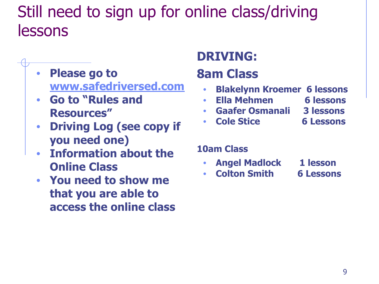### Still need to sign up for online class/driving lessons

- **• Please go to www.safedriversed.com**
- **• Go to "Rules and Resources"**
- **• Driving Log (see copy if you need one)**
- **• Information about the Online Class**
- **• You need to show me that you are able to access the online class**

#### **DRIVING:**

#### **8am Class**

- **• Blakelynn Kroemer 6 lessons**
- **• Ella Mehmen 6 lessons**
- **• Gaafer Osmanali 3 lessons**
- **• Cole Stice 6 Lessons**

#### **10am Class**

- **• Angel Madlock 1 lesson**
- **• Colton Smith 6 Lessons**
- -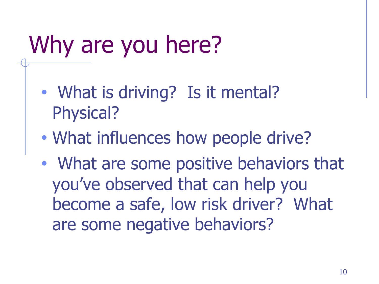## Why are you here?

- What is driving? Is it mental? Physical?
- What influences how people drive?
- What are some positive behaviors that you've observed that can help you become a safe, low risk driver? What are some negative behaviors?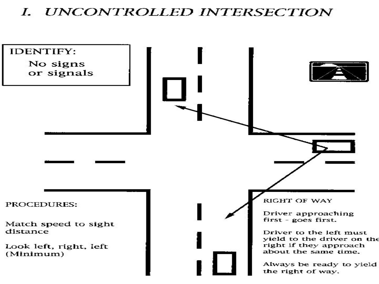#### I. UNCONTROLLED INTERSECTION

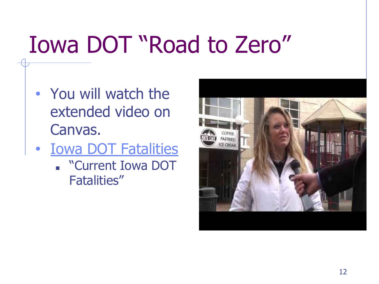## Iowa DOT "Road to Zero"

- You will watch the extended video on Canvas.
- Iowa DOT Fatalities
	- "Current Iowa DOT Fatalities"